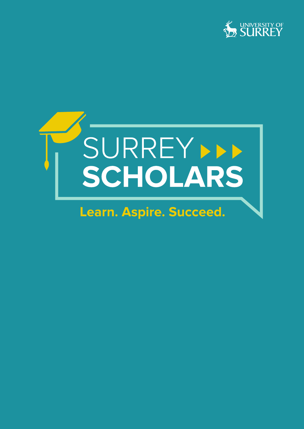



# **Learn. Aspire. Succeed.**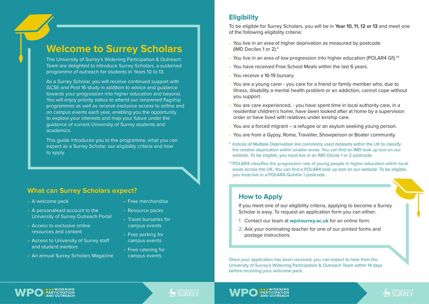# **Welcome to Surrey Scholars**

The University of Surrey's Widening Participation & Outreach Team are delighted to introduce Surrey Scholars, a sustained programme of outreach for students in Years 10 to 13.

As a Surrey Scholar, you will receive continued support with GCSE and Post 16 study in addition to advice and guidance towards your progression into higher education and beyond. You will enjoy priority status to attend our renowned flagship programmes as well as receive exclusive access to online and on campus events each year, enabling you the opportunity to explore your interests and map your future under the guidance of current University of Surrey students and academics.

This guide introduces you to the programme, what you can expect as a Surrey Scholar, our eligibility criteria and how to apply.

#### **What can Surrey Scholars expect?**

- A welcome pack
- A personalised account to the University of Surrey Outreach Portal
- Access to exclusive online resources and content
- Access to University of Surrey staff and student mentors
- An annual Surrey Scholars Magazine
- Free merchandise
- Resource packs
- Travel bursaries for campus events
- Free parking for campus events
- Free catering for campus events

#### **Eligibility**

To be eligible for Surrey Scholars, you will be in **Year 10, 11, 12 or 13** and meet one of the following eligibility criteria:

- You live in an area of higher deprivation as measured by postcode (IMD Deciles 1 or 2).\*
- You live in an area of low progression into higher education (POLAR4 Q1).\*\*
- You have received Free School Meals within the last 6 years.
- You receive a 16-19 bursary.
- You are a young carer you care for a friend or family member who, due to illness, disability a mental health problem or an addiction, cannot cope without you support.
- You are care experienced, you have spent time in local authority care, in a residential children's home, have been looked after at home by a supervision order or have lived with relatives under kinship care.
- You are a forced migrant a refugee or an asylum seeking young person.
- You are from a Gypsy, Roma, Traveller, Showperson or Boater community.
- \* Indices of Multiple Deprivation are commonly used datasets within the UK to classify the relative deprivation within smaller areas. You can find an IMD look up tool on our website. To be eligible, you must live in an IMD Decile 1 or 2 postcode.
- \*\*POLAR4 classifies the progression rate of young people in higher education within local areas across the UK. You can find a POLAR4 look up tool on our website. To be eligible, you must live in a POLAR4 Quintile 1 postcode.

#### **How to Apply**

If you meet one of our eligibility criteria, applying to become a Surrey Scholar is easy. To request an application form you can either:

- 1. Contact our team at **wp@surrey.ac.uk** for an online form.
- 2. Ask your nominating teacher for one of our printed forms and postage instructions.

Once your application has been received, you can expect to hear from the University of Surrey's Widening Participation & Outreach Team within 14 days before receiving your welcome pack.

**SALIRREY** 



### **SEX SURRERSITY OF**

#### **EXIDENING PARTICIPATION AND OUTREACH**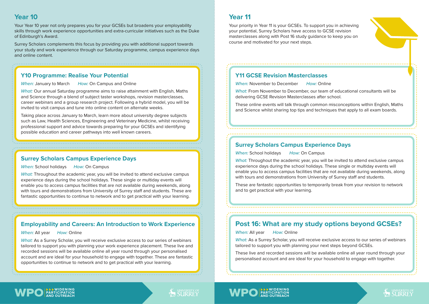#### **Year 10**

Your Year 10 year not only prepares you for your GCSEs but broadens your employability skills through work experience opportunities and extra-curricular initiatives such as the Duke of Edinburgh's Award.

Surrey Scholars complements this focus by providing you with additional support towards your study and work experience through our Saturday programme, campus experience days and online content.

#### **Y10 Programme: Realise Your Potential**

*When:* January to March *How:* On Campus and Online

*What:* Our annual Saturday programme aims to raise attainment with English, Maths and Science through a blend of subject taster workshops, revision masterclasses, career webinars and a group research project. Following a hybrid model, you will be invited to visit campus and tune into online content on alternate weeks.

Taking place across January to March, learn more about university degree subjects such as Law, Health Sciences, Engineering and Veterinary Medicine, whilst receiving professional support and advice towards preparing for your GCSEs and identifying possible education and career pathways into well known careers.

#### **Surrey Scholars Campus Experience Days**

#### *When:* School holidays *How:* On Campus

*What:* Throughout the academic year, you will be invited to attend exclusive campus experience days during the school holidays. These single or multiday events will enable you to access campus facilities that are not available during weekends, along with tours and demonstrations from University of Surrey staff and students. These are fantastic opportunities to continue to network and to get practical with your learning.

### **Employability and Careers: An Introduction to Work Experience**

*When:* All year *How:* Online

*What:* As a Surrey Scholar, you will receive exclusive access to our series of webinars tailored to support you with planning your work experience placement. These live and recorded sessions will be available online all year round through your personalised account and are ideal for your household to engage with together. These are fantastic opportunities to continue to network and to get practical with your learning.

### **Year 11**

Your priority in Year 11 is your GCSEs. To support you in achieving your potential, Surrey Scholars have access to GCSE revision masterclasses along with Post 16 study guidance to keep you on course and motivated for your next steps.

### **Y11 GCSE Revision Masterclasses**

*When:* November to December *How:* Online

*What:* From November to December, our team of educational consultants will be delivering GCSE Revision Masterclasses after school.

These online events will talk through common misconceptions within English, Maths and Science whilst sharing top tips and techniques that apply to all exam boards.

#### **Surrey Scholars Campus Experience Days**

*When:* School holidays *How:* On Campus

*What:* Throughout the academic year, you will be invited to attend exclusive campus experience days during the school holidays. These single or multiday events will enable you to access campus facilities that are not available during weekends, along with tours and demonstrations from University of Surrey staff and students.

These are fantastic opportunities to temporarily break from your revision to network and to get practical with your learning.

### **Post 16: What are my study options beyond GCSEs?**

*When:* All year *How:* Online

*What:* As a Surrey Scholar, you will receive exclusive access to our series of webinars tailored to support you with planning your next steps beyond GCSEs.

These live and recorded sessions will be available online all year round through your personalised account and are ideal for your household to engage with together.



# **AS SURREY**

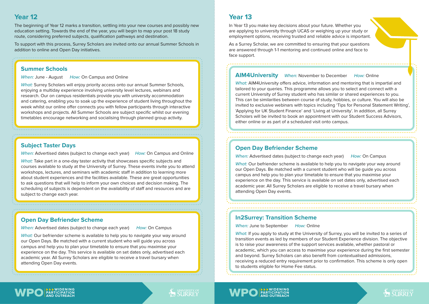### **Year 12**

The beginning of Year 12 marks a transition, settling into your new courses and possibly new education setting. Towards the end of the year, you will begin to map your post 18 study route, considering preferred subjects, qualification pathways and destination.

To support with this process, Surrey Scholars are invited onto our annual Summer Schools in addition to online and Open Day initiatives.

#### **Summer Schools**

*When:* June - August *How:* On Campus and Online

*What:* Surrey Scholars will enjoy priority access onto our annual Summer Schools, enjoying a multiday experience involving university level lectures, webinars and research. Our on campus residentials provide you with university accommodation and catering, enabling you to soak up the experience of student living throughout the week whilst our online offer connects you with fellow participants through interactive workshops and projects. All Summer Schools are subject specific whilst our evening timetables encourage networking and socialising through planned group activity.

#### **Subject Taster Days**

*When:* Advertised dates (subject to change each year) *How:* On Campus and Online

*What:* Take part in a one-day taster activity that showcases specific subjects and courses available to study at the University of Surrey. These events invite you to attend workshops, lectures, and seminars with academic staff in addition to learning more about student experiences and the facilities available. These are great opportunities to ask questions that will help to inform your own choices and decision making. The scheduling of subjects is dependent on the availability of staff and resources and are subject to change each year.

#### **Open Day Befriender Scheme**

*When:* Advertised dates (subject to change each year) *How:* On Campus

*What:* Our befriender scheme is available to help you to navigate your way around our Open Days. Be matched with a current student who will guide you across campus and help you to plan your timetable to ensure that you maximise your experience on the day. This service is available on set dates only, advertised each academic year. All Surrey Scholars are eligible to receive a travel bursary when attending Open Day events.

### **Year 13**

In Year 13 you make key decisions about your future. Whether you are applying to university through UCAS or weighing up your study or employment options, receiving trusted and reliable advice is important.

As a Surrey Scholar, we are committed to ensuring that your questions are answered through 1-1 mentoring and continued online and face to face support.

#### **AIM4University** *When:* November to December *How:* Online

*What:* AIM4University offers advice, information and mentoring that is impartial and tailored to your queries. This programme allows you to select and connect with a current University of Surrey student who has similar or shared experiences to you. This can be similarities between course of study, hobbies, or culture. You will also be invited to exclusive webinars with topics including 'Tips for Personal Statement Writing', 'Applying for UK Student Finance' and 'Living at University'. In addition, all Surrey Scholars will be invited to book an appointment with our Student Success Advisors, either online or as part of a scheduled visit onto campus.

#### **Open Day Befriender Scheme**

*When:* Advertised dates (subject to change each year) *How:* On Campus

*What:* Our befriender scheme is available to help you to navigate your way around our Open Days. Be matched with a current student who will be guide you across campus and help you to plan your timetable to ensure that you maximise your experience on the day. This service is available on set dates only, advertised each academic year. All Surrey Scholars are eligible to receive a travel bursary when attending Open Day events.

#### **In2Surrey: Transition Scheme**

*When:* June to September *How:* Online

**EXIDENING PARTICIPATION AND OUTREACH**

*What:* If you apply to study at the University of Surrey, you will be invited to a series of transition events as led by members of our Student Experience division. The objective is to raise your awareness of the support services available, whether pastoral or academic, which you can access to maximise your experience during the first semester and beyond. Surrey Scholars can also benefit from contextualised admissions, receiving a reduced entry requirement prior to confirmation. This scheme is only open to students eligible for Home Fee status.



## **AS SURREY**